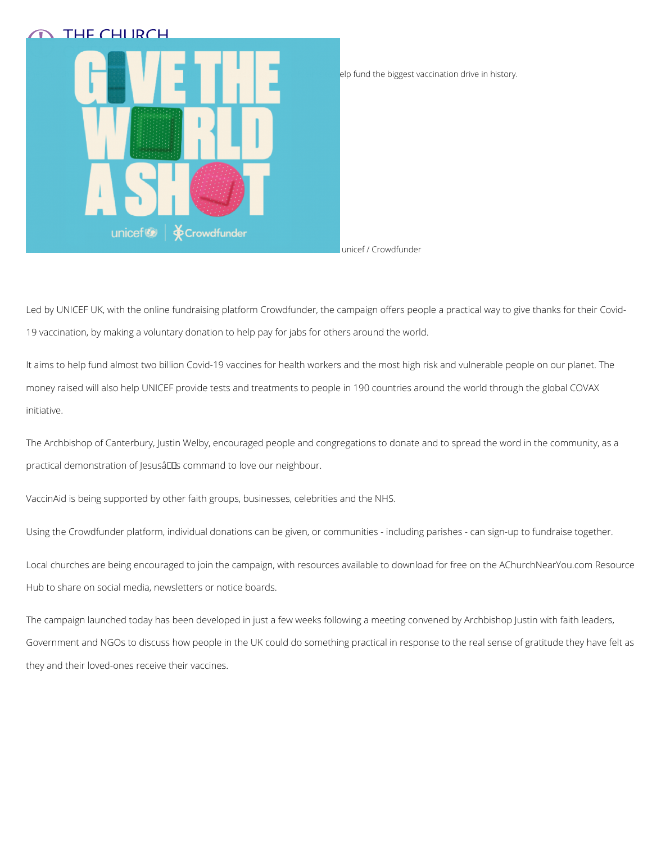



Led by UNICEF UK, with the online fundraising platform Crowdfunder, the campaign offers people a practical way to give thanks for their Covid-19 vaccination, by making a voluntary donation to help pay for jabs for others around the world.

The Archbishop of Canterbury, Justin Welby, encouraged people and congregations to donate and to spread the word in the community, as a practical demonstration of Jesusâlles command to love our neighbour.

It aims to help fund almost two billion Covid-19 vaccines for health workers and the most high risk and vulnerable people on our planet. The money raised will also help UNICEF provide tests and treatments to people in 190 countries around the world through the global COVAX initiative.

VaccinAid is being supported by other faith groups, businesses, celebrities and the NHS.

Using the Crowdfunder platform, individual donations can be given, or communities - including parishes - can sign-up to fundraise together.

Local churches are being encouraged to join the campaign, with resources available to download for free on the AChurchNearYou.com Resource Hub to share on social media, newsletters or notice boards.

The campaign launched today has been developed in just a few weeks following a meeting convened by Archbishop Justin with faith leaders,

Government and NGOs to discuss how people in the UK could do something practical in response to the real sense of gratitude they have felt as

they and their loved-ones receive their vaccines.